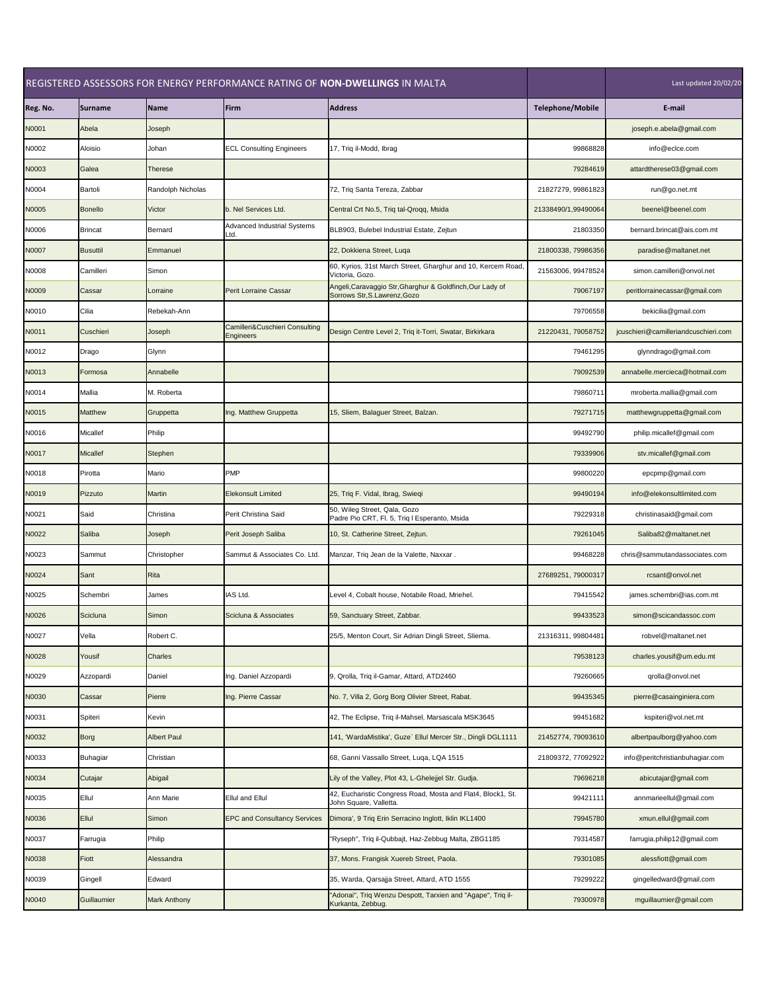| REGISTERED ASSESSORS FOR ENERGY PERFORMANCE RATING OF NON-DWELLINGS IN MALTA |                 |                    |                                                    |                                                                                           | Last updated 20/02/20   |                                      |
|------------------------------------------------------------------------------|-----------------|--------------------|----------------------------------------------------|-------------------------------------------------------------------------------------------|-------------------------|--------------------------------------|
| Reg. No.                                                                     | <b>Surname</b>  | <b>Name</b>        | Firm                                               | <b>Address</b>                                                                            | <b>Telephone/Mobile</b> | E-mail                               |
| N0001                                                                        | Abela           | Joseph             |                                                    |                                                                                           |                         | joseph.e.abela@gmail.com             |
| N0002                                                                        | Aloisio         | Johan              | <b>ECL Consulting Engineers</b>                    | 17, Triq il-Modd, Ibrag                                                                   | 99868828                | info@eclce.com                       |
| N0003                                                                        | Galea           | <b>Therese</b>     |                                                    |                                                                                           | 79284619                | attardtherese03@gmail.com            |
| N0004                                                                        | Bartoli         | Randolph Nicholas  |                                                    | 72, Triq Santa Tereza, Zabbar                                                             | 21827279, 99861823      | run@go.net.mt                        |
| N0005                                                                        | <b>Bonello</b>  | Victor             | b. Nel Services Ltd.                               | Central Crt No.5, Triq tal-Qroqq, Msida                                                   | 21338490/1,99490064     | beenel@beenel.com                    |
| N0006                                                                        | <b>Brincat</b>  | <b>Bernard</b>     | <b>Advanced Industrial Systems</b><br>Ltd.         | BLB903, Bulebel Industrial Estate, Zejtun                                                 | 21803350                | bernard.brincat@ais.com.mt           |
| N0007                                                                        | <b>Busuttil</b> | Emmanuel           |                                                    | 22, Dokkiena Street, Luqa                                                                 | 21800338, 79986356      | paradise@maltanet.net                |
| N0008                                                                        | Camilleri       | Simon              |                                                    | 60, Kyrios, 31st March Street, Gharghur and 10, Kercem Road,<br>Victoria, Gozo.           | 21563006, 99478524      | simon.camilleri@onvol.net            |
| N0009                                                                        | Cassar          | Lorraine           | <b>Perit Lorraine Cassar</b>                       | Angeli, Caravaggio Str, Gharghur & Goldfinch, Our Lady of<br>Sorrows Str, S.Lawrenz, Gozo | 79067197                | peritlorrainecassar@gmail.com        |
| N0010                                                                        | Cilia           | Rebekah-Ann        |                                                    |                                                                                           | 79706558                | bekicilia@gmail.com                  |
| N0011                                                                        | Cuschieri       | Joseph             | Camilleri&Cuschieri Consulting<br><b>Engineers</b> | Design Centre Level 2, Triq it-Torri, Swatar, Birkirkara                                  | 21220431, 79058752      | jcuschieri@camilleriandcuschieri.com |
| N0012                                                                        | Drago           | Glynn              |                                                    |                                                                                           | 79461295                | glynndrago@gmail.com                 |
| N0013                                                                        | Formosa         | Annabelle          |                                                    |                                                                                           | 79092539                | annabelle.mercieca@hotmail.com       |
| N0014                                                                        | Mallia          | M. Roberta         |                                                    |                                                                                           | 79860711                | mroberta.mallia@gmail.com            |
| N0015                                                                        | <b>Matthew</b>  | Gruppetta          | Ing. Matthew Gruppetta                             | 15, Sliem, Balaguer Street, Balzan.                                                       | 79271715                | matthewgruppetta@gmail.com           |
| N0016                                                                        | <b>Micallef</b> | Philip             |                                                    |                                                                                           | 99492790                | philip.micallef@gmail.com            |
| N0017                                                                        | <b>Micallef</b> | Stephen            |                                                    |                                                                                           | 79339906                | stv.micallef@gmail.com               |
| N0018                                                                        | Pirotta         | Mario              | <b>PMP</b>                                         |                                                                                           | 99800220                | epcpmp@gmail.com                     |
| N0019                                                                        | Pizzuto         | Martin             | <b>Elekonsult Limited</b>                          | 25, Triq F. Vidal, Ibrag, Swieqi                                                          | 99490194                | info@elekonsultlimited.com           |
| N0021                                                                        | Said            | Christina          | Perit Christina Said                               | 50, Wileg Street, Qala, Gozo<br>Padre Pio CRT, Fl. 5, Triq I Esperanto, Msida             | 79229318                | christinasaid@gmail.com              |
| N0022                                                                        | <b>Saliba</b>   | Joseph             | Perit Joseph Saliba                                | 10, St. Catherine Street, Zejtun.                                                         | 79261045                | Saliba82@maltanet.net                |
| N0023                                                                        | Sammut          | Christopher        | Sammut & Associates Co. Ltd.                       | Manzar, Triq Jean de la Valette, Naxxar.                                                  | 99468228                | chris@sammutandassociates.com        |
| N0024                                                                        | Sant            | <b>Rita</b>        |                                                    |                                                                                           | 27689251, 79000317      | rcsant@onvol.net                     |
| N0025                                                                        | Schembri        | James              | IAS Ltd.                                           | Level 4, Cobalt house, Notabile Road, Mriehel.                                            | 79415542                | james.schembri@ias.com.mt            |
| N0026                                                                        | <b>Scicluna</b> | Simon              | Scicluna & Associates                              | 59, Sanctuary Street, Zabbar.                                                             | 99433523                | simon@scicandassoc.com               |
| N0027                                                                        | Vella           | Robert C.          |                                                    | 25/5, Menton Court, Sir Adrian Dingli Street, Sliema.                                     | 21316311, 99804481      | robvel@maltanet.net                  |
| N0028                                                                        | Yousif          | <b>Charles</b>     |                                                    |                                                                                           | 79538123                | charles.yousif@um.edu.mt             |
| N0029                                                                        | Azzopardi       | Daniel             | Ing. Daniel Azzopardi                              | 9, Qrolla, Triq il-Gamar, Attard, ATD2460                                                 | 79260665                | qrolla@onvol.net                     |
| N0030                                                                        | Cassar          | Pierre             | Ing. Pierre Cassar                                 | No. 7, Villa 2, Gorg Borg Olivier Street, Rabat.                                          | 99435345                | pierre@casainginiera.com             |
| N0031                                                                        | Spiteri         | Kevin              |                                                    | 42, The Eclipse, Triq il-Mahsel, Marsascala MSK3645                                       | 99451682                | kspiteri@vol.net.mt                  |
| N0032                                                                        | <b>Borg</b>     | <b>Albert Paul</b> |                                                    | 141, 'WardaMistika', Guze` Ellul Mercer Str., Dingli DGL1111                              | 21452774, 79093610      | albertpaulborg@yahoo.com             |
| N0033                                                                        | <b>Buhagiar</b> | Christian          |                                                    | 68, Ganni Vassallo Street, Luga, LQA 1515                                                 | 21809372, 77092922      | info@peritchristianbuhagiar.com      |
| N0034                                                                        | Cutajar         | Abigail            |                                                    | Lily of the Valley, Plot 43, L-Ghelejjel Str. Gudja.                                      | 79696218                | abicutajar@gmail.com                 |
| N0035                                                                        | <b>Ellul</b>    | Ann Marie          | <b>Ellul and Ellul</b>                             | 42, Eucharistic Congress Road, Mosta and Flat4, Block1, St.<br>John Square, Valletta.     | 99421111                | annmarieellul@gmail.com              |
| N0036                                                                        | Ellul           | Simon              | <b>EPC and Consultancy Services</b>                | Dimora', 9 Triq Erin Serracino Inglott, Iklin IKL1400                                     | 79945780                | xmun.ellul@gmail.com                 |
| N0037                                                                        | Farrugia        | Philip             |                                                    | "Ryseph", Triq il-Qubbajt, Haz-Zebbug Malta, ZBG1185                                      | 79314587                | farrugia.philip12@gmail.com          |
| N0038                                                                        | Fiott           | Alessandra         |                                                    | 37, Mons. Frangisk Xuereb Street, Paola.                                                  | 79301085                | alessfiott@gmail.com                 |
| N0039                                                                        | Gingell         | Edward             |                                                    | 35, Warda, Qarsajja Street, Attard, ATD 1555                                              | 79299222                | gingelledward@gmail.com              |
| N0040                                                                        | Guillaumier     | Mark Anthony       |                                                    | "Adonai", Triq Wenzu Despott, Tarxien and "Agape", Triq il-<br>Kurkanta, Zebbug.          | 79300978                | mguillaumier@gmail.com               |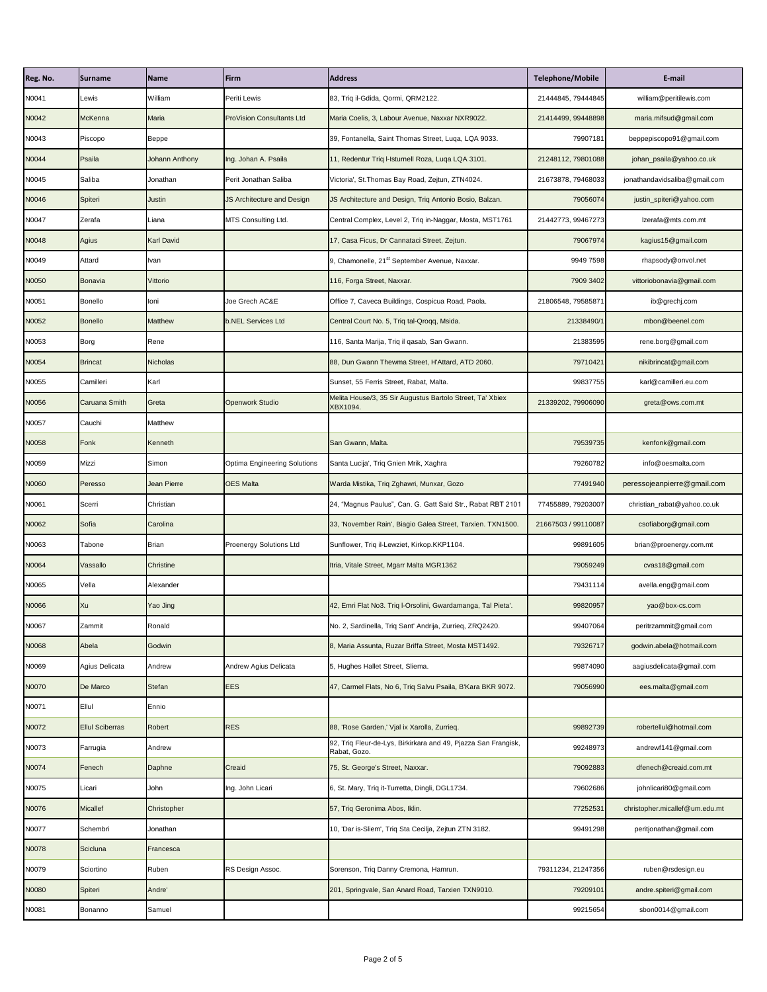| Reg. No. | <b>Surname</b>         | <b>Name</b>       | Firm                                | <b>Address</b>                                                                 | <b>Telephone/Mobile</b> | E-mail                         |
|----------|------------------------|-------------------|-------------------------------------|--------------------------------------------------------------------------------|-------------------------|--------------------------------|
| N0041    | Lewis                  | William           | Periti Lewis                        | 83, Triq il-Gdida, Qormi, QRM2122.                                             | 21444845, 79444845      | william@peritilewis.com        |
| N0042    | <b>McKenna</b>         | <b>Maria</b>      | <b>ProVision Consultants Ltd</b>    | Maria Coelis, 3, Labour Avenue, Naxxar NXR9022.                                | 21414499, 99448898      | maria.mifsud@gmail.com         |
| N0043    | Piscopo                | Beppe             |                                     | 39, Fontanella, Saint Thomas Street, Luqa, LQA 9033.                           | 79907181                | beppepiscopo91@gmail.com       |
| N0044    | Psaila                 | Johann Anthony    | Ing. Johan A. Psaila                | 11, Redentur Triq I-Isturnell Roza, Luqa LQA 3101.                             | 21248112, 79801088      | johan_psaila@yahoo.co.uk       |
| N0045    | Saliba                 | Jonathan          | Perit Jonathan Saliba               | Victoria', St. Thomas Bay Road, Zejtun, ZTN4024.                               | 21673878, 79468033      | jonathandavidsaliba@gmail.com  |
| N0046    | Spiteri                | <b>Justin</b>     | JS Architecture and Design          | JS Architecture and Design, Triq Antonio Bosio, Balzan.                        | 79056074                | justin_spiteri@yahoo.com       |
| N0047    | Zerafa                 | Liana             | MTS Consulting Ltd.                 | Central Complex, Level 2, Triq in-Naggar, Mosta, MST1761                       | 21442773, 99467273      | lzerafa@mts.com.mt             |
| N0048    | <b>Agius</b>           | <b>Karl David</b> |                                     | 17, Casa Ficus, Dr Cannataci Street, Zejtun.                                   | 79067974                | kagius15@gmail.com             |
| N0049    | Attard                 | <b>Ivan</b>       |                                     | 9, Chamonelle, 21 <sup>st</sup> September Avenue, Naxxar.                      | 9949 7598               | rhapsody@onvol.net             |
| N0050    | <b>Bonavia</b>         | Vittorio          |                                     | 116, Forga Street, Naxxar.                                                     | 7909 3402               | vittoriobonavia@gmail.com      |
| N0051    | <b>Bonello</b>         | loni              | Joe Grech AC&E                      | Office 7, Caveca Buildings, Cospicua Road, Paola.                              | 21806548, 79585871      | ib@grechj.com                  |
| N0052    | <b>Bonello</b>         | <b>Matthew</b>    | <b>b.NEL Services Ltd</b>           | Central Court No. 5, Triq tal-Qroqq, Msida.                                    | 21338490/1              | mbon@beenel.com                |
| N0053    | <b>Borg</b>            | Rene              |                                     | 116, Santa Marija, Triq il qasab, San Gwann.                                   | 21383595                | rene.borg@gmail.com            |
| N0054    | <b>Brincat</b>         | <b>Nicholas</b>   |                                     | 88, Dun Gwann Thewma Street, H'Attard, ATD 2060.                               | 79710421                | nikibrincat@gmail.com          |
| N0055    | Camilleri              | Karl              |                                     | Sunset, 55 Ferris Street, Rabat, Malta.                                        | 99837755                | karl@camilleri.eu.com          |
| N0056    | <b>Caruana Smith</b>   | Greta             | <b>Openwork Studio</b>              | Melita House/3, 35 Sir Augustus Bartolo Street, Ta' Xbiex<br>XBX1094.          | 21339202, 79906090      | greta@ows.com.mt               |
| N0057    | Cauchi                 | Matthew           |                                     |                                                                                |                         |                                |
| N0058    | Fonk                   | Kenneth           |                                     | San Gwann, Malta.                                                              | 79539735                | kenfonk@gmail.com              |
| N0059    | Mizzi                  | Simon             | <b>Optima Engineering Solutions</b> | Santa Lucija', Triq Gnien Mrik, Xaghra                                         | 79260782                | info@oesmalta.com              |
| N0060    | Peresso                | Jean Pierre       | <b>OES Malta</b>                    | Warda Mistika, Triq Zghawri, Munxar, Gozo                                      | 77491940                | peressojeanpierre@gmail.com    |
| N0061    | Scerri                 | Christian         |                                     | 24, "Magnus Paulus", Can. G. Gatt Said Str., Rabat RBT 2101                    | 77455889, 79203007      | christian_rabat@yahoo.co.uk    |
| N0062    | Sofia                  | Carolina          |                                     | 33, 'November Rain', Biagio Galea Street, Tarxien. TXN1500.                    | 21667503 / 99110087     | csofiaborg@gmail.com           |
| N0063    | Tabone                 | <b>Brian</b>      | <b>Proenergy Solutions Ltd</b>      | Sunflower, Triq il-Lewziet, Kirkop.KKP1104.                                    | 99891605                | brian@proenergy.com.mt         |
| N0064    | Vassallo               | <b>Christine</b>  |                                     | Itria, Vitale Street, Mgarr Malta MGR1362                                      | 79059249                | cvas18@gmail.com               |
| N0065    | Vella                  | Alexander         |                                     |                                                                                | 79431114                | avella.eng@gmail.com           |
| N0066    | Xu                     | Yao Jing          |                                     | 42, Emri Flat No3. Triq I-Orsolini, Gwardamanga, Tal Pieta'.                   | 99820957                | yao@box-cs.com                 |
| N0067    | Zammit                 | Ronald            |                                     | No. 2, Sardinella, Triq Sant' Andrija, Zurrieq, ZRQ2420.                       | 99407064                | peritrzammit@gmail.com         |
| N0068    | Abela                  | Godwin            |                                     | 8, Maria Assunta, Ruzar Briffa Street, Mosta MST1492.                          | 79326717                | godwin.abela@hotmail.com       |
| N0069    | Agius Delicata         | Andrew            | Andrew Agius Delicata               | 5, Hughes Hallet Street, Sliema.                                               | 99874090                | aagiusdelicata@gmail.com       |
| N0070    | De Marco               | <b>Stefan</b>     | <b>EES</b>                          | 47, Carmel Flats, No 6, Triq Salvu Psaila, B'Kara BKR 9072.                    | 79056990                | ees.malta@gmail.com            |
| N0071    | Ellul                  | Ennio             |                                     |                                                                                |                         |                                |
| N0072    | <b>Ellul Sciberras</b> | Robert            | <b>RES</b>                          | 88, 'Rose Garden,' Vjal ix Xarolla, Zurrieq.                                   | 99892739                | robertellul@hotmail.com        |
| N0073    | Farrugia               | Andrew            |                                     | 92, Triq Fleur-de-Lys, Birkirkara and 49, Pjazza San Frangisk,<br>Rabat, Gozo. | 99248973                | andrewf141@gmail.com           |
| N0074    | Fenech                 | Daphne            | Creaid                              | 75, St. George's Street, Naxxar.                                               | 79092883                | dfenech@creaid.com.mt          |
| N0075    | Licari                 | John              | Ing. John Licari                    | 6, St. Mary, Triq it-Turretta, Dingli, DGL1734.                                | 79602686                | johnlicari80@gmail.com         |
| N0076    | <b>Micallef</b>        | Christopher       |                                     | 57, Triq Geronima Abos, Iklin.                                                 | 77252531                | christopher.micallef@um.edu.mt |
| N0077    | Schembri               | Jonathan          |                                     | 10, 'Dar is-Sliem', Triq Sta Cecilja, Zejtun ZTN 3182.                         | 99491298                | peritjonathan@gmail.com        |
| N0078    | Scicluna               | Francesca         |                                     |                                                                                |                         |                                |
| N0079    | Sciortino              | Ruben             | RS Design Assoc.                    | Sorenson, Triq Danny Cremona, Hamrun.                                          | 79311234, 21247356      | ruben@rsdesign.eu              |
| N0080    | Spiteri                | Andre'            |                                     | 201, Springvale, San Anard Road, Tarxien TXN9010.                              | 79209101                | andre.spiteri@gmail.com        |
| N0081    | Bonanno                | Samuel            |                                     |                                                                                | 99215654                | sbon0014@gmail.com             |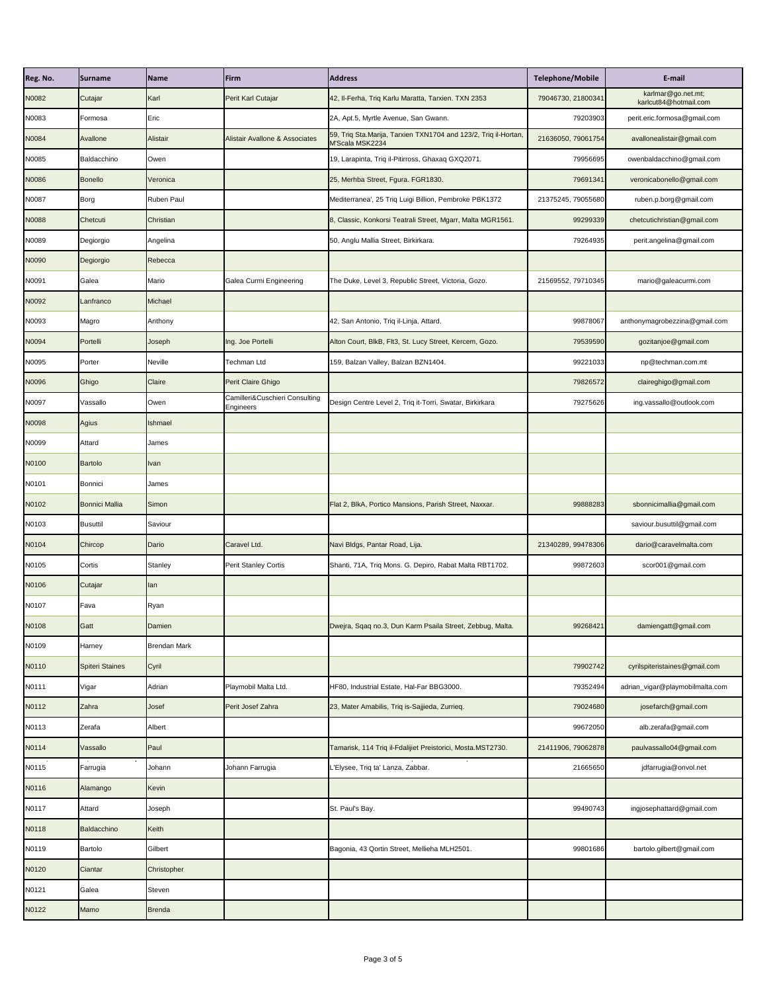| Reg. No. | <b>Surname</b>         | Name                | <b>Firm</b>                                 | <b>Address</b>                                                                      | <b>Telephone/Mobile</b> | E-mail                                      |
|----------|------------------------|---------------------|---------------------------------------------|-------------------------------------------------------------------------------------|-------------------------|---------------------------------------------|
| N0082    | Cutajar                | Karl                | Perit Karl Cutajar                          | 42, Il-Ferha, Triq Karlu Maratta, Tarxien. TXN 2353                                 | 79046730, 21800341      | karlmar@go.net.mt;<br>karlcut84@hotmail.com |
| N0083    | Formosa                | Eric                |                                             | 2A, Apt.5, Myrtle Avenue, San Gwann.                                                | 79203903                | perit.eric.formosa@gmail.com                |
| N0084    | Avallone               | Alistair            | <b>Alistair Avallone &amp; Associates</b>   | 59, Triq Sta. Marija, Tarxien TXN1704 and 123/2, Triq il-Hortan,<br>M'Scala MSK2234 | 21636050, 79061754      | avallonealistair@gmail.com                  |
| N0085    | Baldacchino            | Owen                |                                             | 19, Larapinta, Triq il-Pitirross, Ghaxaq GXQ2071.                                   | 79956695                | owenbaldacchino@gmail.com                   |
| N0086    | <b>Bonello</b>         | Veronica            |                                             | 25, Merhba Street, Fgura. FGR1830.                                                  | 79691341                | veronicabonello@gmail.com                   |
| N0087    | <b>Borg</b>            | <b>Ruben Paul</b>   |                                             | Mediterranea', 25 Triq Luigi Billion, Pembroke PBK1372                              | 21375245, 79055680      | ruben.p.borg@gmail.com                      |
| N0088    | Chetcuti               | Christian           |                                             | 8, Classic, Konkorsi Teatrali Street, Mgarr, Malta MGR1561.                         | 99299339                | chetcutichristian@gmail.com                 |
| N0089    | Degiorgio              | Angelina            |                                             | 50, Anglu Mallia Street, Birkirkara.                                                | 79264935                | perit.angelina@gmail.com                    |
| N0090    | Degiorgio              | Rebecca             |                                             |                                                                                     |                         |                                             |
| N0091    | Galea                  | Mario               | Galea Curmi Engineering                     | The Duke, Level 3, Republic Street, Victoria, Gozo.                                 | 21569552, 79710345      | mario@galeacurmi.com                        |
| N0092    | Lanfranco              | Michael             |                                             |                                                                                     |                         |                                             |
| N0093    | Magro                  | Anthony             |                                             | 42, San Antonio, Triq il-Linja, Attard.                                             | 99878067                | anthonymagrobezzina@gmail.com               |
| N0094    | Portelli               | Joseph              | Ing. Joe Portelli                           | Alton Court, BlkB, Flt3, St. Lucy Street, Kercem, Gozo.                             | 79539590                | gozitanjoe@gmail.com                        |
| N0095    | Porter                 | <b>Neville</b>      | Techman Ltd                                 | 159, Balzan Valley, Balzan BZN1404.                                                 | 99221033                | np@techman.com.mt                           |
| N0096    | Ghigo                  | Claire              | Perit Claire Ghigo                          |                                                                                     | 79826572                | claireghigo@gmail.com                       |
| N0097    | Vassallo               | Owen                | Camilleri&Cuschieri Consulting<br>Engineers | Design Centre Level 2, Triq it-Torri, Swatar, Birkirkara                            | 79275626                | ing.vassallo@outlook.com                    |
| N0098    | <b>Agius</b>           | Ishmael             |                                             |                                                                                     |                         |                                             |
| N0099    | Attard                 | James               |                                             |                                                                                     |                         |                                             |
| N0100    | <b>Bartolo</b>         | <b>I</b> lvan       |                                             |                                                                                     |                         |                                             |
| N0101    | Bonnici                | James               |                                             |                                                                                     |                         |                                             |
| N0102    | <b>Bonnici Mallia</b>  | Simon               |                                             | Flat 2, BlkA, Portico Mansions, Parish Street, Naxxar.                              | 99888283                | sbonnicimallia@gmail.com                    |
| N0103    | <b>Busuttil</b>        | Saviour             |                                             |                                                                                     |                         | saviour.busuttil@gmail.com                  |
| N0104    | Chircop                | Dario               | Caravel Ltd.                                | Navi Bldgs, Pantar Road, Lija.                                                      | 21340289, 99478306      | dario@caravelmalta.com                      |
| N0105    | Cortis                 | <b>Stanley</b>      | <b>Perit Stanley Cortis</b>                 | Shanti, 71A, Triq Mons. G. Depiro, Rabat Malta RBT1702.                             | 99872603                | scor001@gmail.com                           |
| N0106    | Cutajar                | <b>I</b> lan        |                                             |                                                                                     |                         |                                             |
| N0107    | Fava                   | Ryan                |                                             |                                                                                     |                         |                                             |
| N0108    | Gatt                   | Damien              |                                             | Dwejra, Sqaq no.3, Dun Karm Psaila Street, Zebbug, Malta.                           | 99268421                | damiengatt@gmail.com                        |
| N0109    | Harney                 | <b>Brendan Mark</b> |                                             |                                                                                     |                         |                                             |
| N0110    | <b>Spiteri Staines</b> | Cyril               |                                             |                                                                                     | 79902742                | cyrilspiteristaines@gmail.com               |
| N0111    | Vigar                  | Adrian              | Playmobil Malta Ltd.                        | HF80, Industrial Estate, Hal-Far BBG3000.                                           | 79352494                | adrian_vigar@playmobilmalta.com             |
| N0112    | Zahra                  | Josef               | Perit Josef Zahra                           | 23, Mater Amabilis, Triq is-Sajjieda, Zurrieq.                                      | 79024680                | josefarch@gmail.com                         |
| N0113    | Zerafa                 | Albert              |                                             |                                                                                     | 99672050                | alb.zerafa@gmail.com                        |
| N0114    | Vassallo               | Paul                |                                             | Tamarisk, 114 Triq il-Fdalijiet Preistorici, Mosta.MST2730.                         | 21411906, 79062878      | paulvassallo04@gmail.com                    |
| N0115    | Farrugia               | Johann              | Johann Farrugia                             | L'Elysee, Triq ta' Lanza, Zabbar.                                                   | 21665650                | jdfarrugia@onvol.net                        |
| N0116    | Alamango               | Kevin               |                                             |                                                                                     |                         |                                             |
| N0117    | Attard                 | Joseph              |                                             | St. Paul's Bay.                                                                     | 99490743                | ingjosephattard@gmail.com                   |
| N0118    | <b>Baldacchino</b>     | Keith               |                                             |                                                                                     |                         |                                             |
| N0119    | <b>Bartolo</b>         | Gilbert             |                                             | Bagonia, 43 Qortin Street, Mellieha MLH2501.                                        | 99801686                | bartolo.gilbert@gmail.com                   |
| N0120    | Ciantar                | Christopher         |                                             |                                                                                     |                         |                                             |
| N0121    | Galea                  | <b>Steven</b>       |                                             |                                                                                     |                         |                                             |
| N0122    | Mamo                   | Brenda              |                                             |                                                                                     |                         |                                             |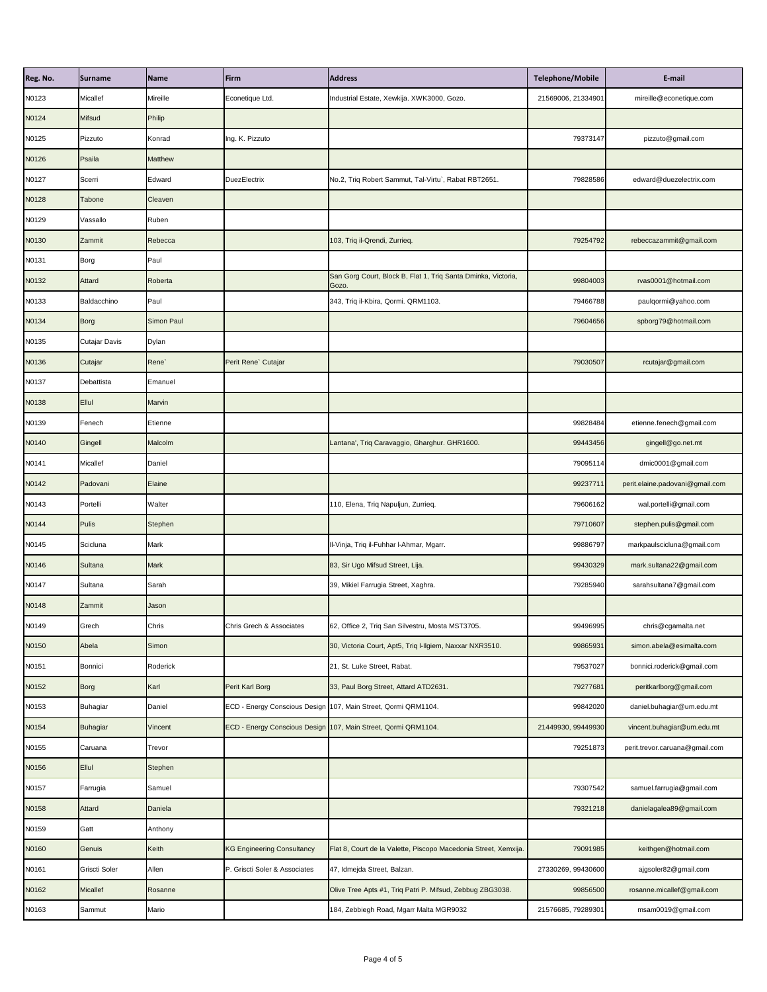| Reg. No. | Surname         | <b>Name</b>       | Firm                              | <b>Address</b>                                                         | <b>Telephone/Mobile</b> | E-mail                          |
|----------|-----------------|-------------------|-----------------------------------|------------------------------------------------------------------------|-------------------------|---------------------------------|
| N0123    | Micallef        | Mireille          | Econetique Ltd.                   | Industrial Estate, Xewkija. XWK3000, Gozo.                             | 21569006, 21334901      | mireille@econetique.com         |
| N0124    | <b>Mifsud</b>   | Philip            |                                   |                                                                        |                         |                                 |
| N0125    | Pizzuto         | Konrad            | Ing. K. Pizzuto                   |                                                                        | 79373147                | pizzuto@gmail.com               |
| N0126    | Psaila          | <b>Matthew</b>    |                                   |                                                                        |                         |                                 |
| N0127    | Scerri          | Edward            | <b>DuezElectrix</b>               | No.2, Triq Robert Sammut, Tal-Virtu`, Rabat RBT2651.                   | 79828586                | edward@duezelectrix.com         |
| N0128    | <b>Tabone</b>   | Cleaven           |                                   |                                                                        |                         |                                 |
| N0129    | Vassallo        | Ruben             |                                   |                                                                        |                         |                                 |
| N0130    | Zammit          | Rebecca           |                                   | 103, Triq il-Qrendi, Zurrieq.                                          | 79254792                | rebeccazammit@gmail.com         |
| N0131    | Borg            | Paul              |                                   |                                                                        |                         |                                 |
| N0132    | <b>Attard</b>   | Roberta           |                                   | San Gorg Court, Block B, Flat 1, Triq Santa Dminka, Victoria,<br>Gozo. | 99804003                | rvas0001@hotmail.com            |
| N0133    | Baldacchino     | Paul              |                                   | 343, Triq il-Kbira, Qormi. QRM1103.                                    | 79466788                | paulqormi@yahoo.com             |
| N0134    | <b>Borg</b>     | <b>Simon Paul</b> |                                   |                                                                        | 79604656                | spborg79@hotmail.com            |
| N0135    | Cutajar Davis   | <b>Dylan</b>      |                                   |                                                                        |                         |                                 |
| N0136    | Cutajar         | Rene <sup>`</sup> | Perit Rene` Cutajar               |                                                                        | 79030507                | rcutajar@gmail.com              |
| N0137    | Debattista      | Emanuel           |                                   |                                                                        |                         |                                 |
| N0138    | <b>Ellul</b>    | Marvin            |                                   |                                                                        |                         |                                 |
| N0139    | Fenech          | Etienne           |                                   |                                                                        | 99828484                | etienne.fenech@gmail.com        |
| N0140    | Gingell         | Malcolm           |                                   | Lantana', Triq Caravaggio, Gharghur. GHR1600.                          | 99443456                | gingell@go.net.mt               |
| N0141    | Micallef        | Daniel            |                                   |                                                                        | 79095114                | dmic0001@gmail.com              |
| N0142    | Padovani        | Elaine            |                                   |                                                                        | 99237711                | perit.elaine.padovani@gmail.com |
| N0143    | Portelli        | Walter            |                                   | 110, Elena, Triq Napuljun, Zurrieq.                                    | 79606162                | wal.portelli@gmail.com          |
| N0144    | <b>Pulis</b>    | Stephen           |                                   |                                                                        | 79710607                | stephen.pulis@gmail.com         |
| N0145    | Scicluna        | Mark              |                                   | II-Vinja, Triq il-Fuhhar I-Ahmar, Mgarr.                               | 99886797                | markpaulscicluna@gmail.com      |
| N0146    | <b>Sultana</b>  | <b>Mark</b>       |                                   | 83, Sir Ugo Mifsud Street, Lija.                                       | 99430329                | mark.sultana22@gmail.com        |
| N0147    | Sultana         | Sarah             |                                   | 39, Mikiel Farrugia Street, Xaghra.                                    | 79285940                | sarahsultana7@gmail.com         |
| N0148    | Zammit          | Jason             |                                   |                                                                        |                         |                                 |
| N0149    | Grech           | Chris             | Chris Grech & Associates          | 62, Office 2, Triq San Silvestru, Mosta MST3705.                       | 99496995                | chris@cgamalta.net              |
| N0150    | Abela           | Simon             |                                   | 30, Victoria Court, Apt5, Triq I-Ilgiem, Naxxar NXR3510.               | 99865931                | simon.abela@esimalta.com        |
| N0151    | Bonnici         | Roderick          |                                   | 21, St. Luke Street, Rabat.                                            | 79537027                | bonnici.roderick@gmail.com      |
| N0152    | Borg            | Karl              | Perit Karl Borg                   | 33, Paul Borg Street, Attard ATD2631.                                  | 79277681                | peritkarlborg@gmail.com         |
| N0153    | <b>Buhagiar</b> | Daniel            |                                   | ECD - Energy Conscious Design 107, Main Street, Qormi QRM1104.         | 99842020                | daniel.buhagiar@um.edu.mt       |
| N0154    | <b>Buhagiar</b> | Vincent           |                                   | ECD - Energy Conscious Design 107, Main Street, Qormi QRM1104.         | 21449930, 99449930      | vincent.buhagiar@um.edu.mt      |
| N0155    | Caruana         | Trevor            |                                   |                                                                        | 79251873                | perit.trevor.caruana@gmail.com  |
| N0156    | <b>Ellul</b>    | Stephen           |                                   |                                                                        |                         |                                 |
| N0157    | Farrugia        | Samuel            |                                   |                                                                        | 79307542                | samuel.farrugia@gmail.com       |
| N0158    | Attard          | Daniela           |                                   |                                                                        | 79321218                | danielagalea89@gmail.com        |
| N0159    | Gatt            | Anthony           |                                   |                                                                        |                         |                                 |
| N0160    | Genuis          | Keith             | <b>KG Engineering Consultancy</b> | Flat 8, Court de la Valette, Piscopo Macedonia Street, Xemxija.        | 79091985                | keithgen@hotmail.com            |
| N0161    | Griscti Soler   | Allen             | P. Griscti Soler & Associates     | 47, Idmejda Street, Balzan.                                            | 27330269, 99430600      | ajgsoler82@gmail.com            |
| N0162    | <b>Micallef</b> | Rosanne           |                                   | Olive Tree Apts #1, Triq Patri P. Mifsud, Zebbug ZBG3038.              | 99856500                | rosanne.micallef@gmail.com      |
| N0163    | Sammut          | Mario             |                                   | 184, Zebbiegh Road, Mgarr Malta MGR9032                                | 21576685, 79289301      | msam0019@gmail.com              |